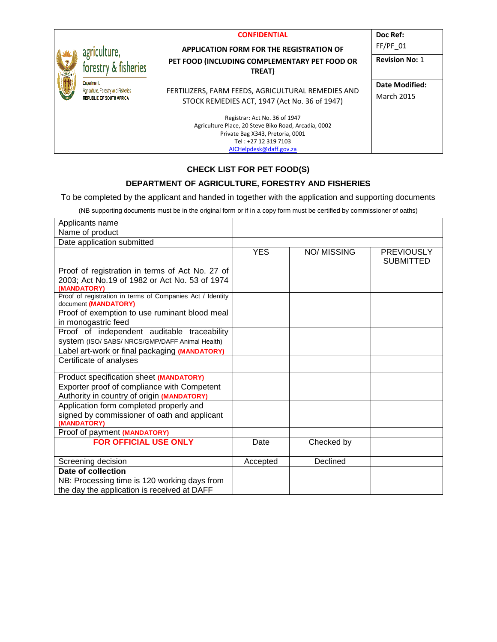| <b>ANS</b> | agriculture,                                                                         | <b>CONFIDENTIAL</b><br><b>APPLICATION FORM FOR THE REGISTRATION OF</b>                                                                                                       | Doc Ref:<br>$FF/PF$ 01              |
|------------|--------------------------------------------------------------------------------------|------------------------------------------------------------------------------------------------------------------------------------------------------------------------------|-------------------------------------|
|            | forestry & fisheries                                                                 | PET FOOD (INCLUDING COMPLEMENTARY PET FOOD OR<br>TREAT)                                                                                                                      | <b>Revision No: 1</b>               |
|            | Department<br>Agriculture, Forestry and Fisheries<br><b>REPUBLIC OF SOUTH AFRICA</b> | FERTILIZERS, FARM FEEDS, AGRICULTURAL REMEDIES AND<br>STOCK REMEDIES ACT, 1947 (Act No. 36 of 1947)                                                                          | Date Modified:<br><b>March 2015</b> |
|            |                                                                                      | Registrar: Act No. 36 of 1947<br>Agriculture Place, 20 Steve Biko Road, Arcadia, 0002<br>Private Bag X343, Pretoria, 0001<br>Tel: +27 12 319 7103<br>AICHelpdesk@daff.gov.za |                                     |

#### **CHECK LIST FOR PET FOOD(S)**

### **DEPARTMENT OF AGRICULTURE, FORESTRY AND FISHERIES**

To be completed by the applicant and handed in together with the application and supporting documents

(NB supporting documents must be in the original form or if in a copy form must be certified by commissioner of oaths)

| Applicants name                                                                                                 |            |                    |                                       |
|-----------------------------------------------------------------------------------------------------------------|------------|--------------------|---------------------------------------|
| Name of product                                                                                                 |            |                    |                                       |
| Date application submitted                                                                                      |            |                    |                                       |
|                                                                                                                 | <b>YES</b> | <b>NO/ MISSING</b> | <b>PREVIOUSLY</b><br><b>SUBMITTED</b> |
| Proof of registration in terms of Act No. 27 of<br>2003; Act No.19 of 1982 or Act No. 53 of 1974<br>(MANDATORY) |            |                    |                                       |
| Proof of registration in terms of Companies Act / Identity<br>document (MANDATORY)                              |            |                    |                                       |
| Proof of exemption to use ruminant blood meal<br>in monogastric feed                                            |            |                    |                                       |
| Proof of independent auditable traceability<br>System (ISO/ SABS/ NRCS/GMP/DAFF Animal Health)                  |            |                    |                                       |
| Label art-work or final packaging (MANDATORY)                                                                   |            |                    |                                       |
| Certificate of analyses                                                                                         |            |                    |                                       |
| Product specification sheet (MANDATORY)                                                                         |            |                    |                                       |
| Exporter proof of compliance with Competent<br>Authority in country of origin (MANDATORY)                       |            |                    |                                       |
| Application form completed properly and<br>signed by commissioner of oath and applicant<br>(MANDATORY)          |            |                    |                                       |
| Proof of payment (MANDATORY)                                                                                    |            |                    |                                       |
| <b>FOR OFFICIAL USE ONLY</b>                                                                                    | Date       | Checked by         |                                       |
|                                                                                                                 |            |                    |                                       |
| Screening decision                                                                                              | Accepted   | Declined           |                                       |
| Date of collection                                                                                              |            |                    |                                       |
| NB: Processing time is 120 working days from                                                                    |            |                    |                                       |
| the day the application is received at DAFF                                                                     |            |                    |                                       |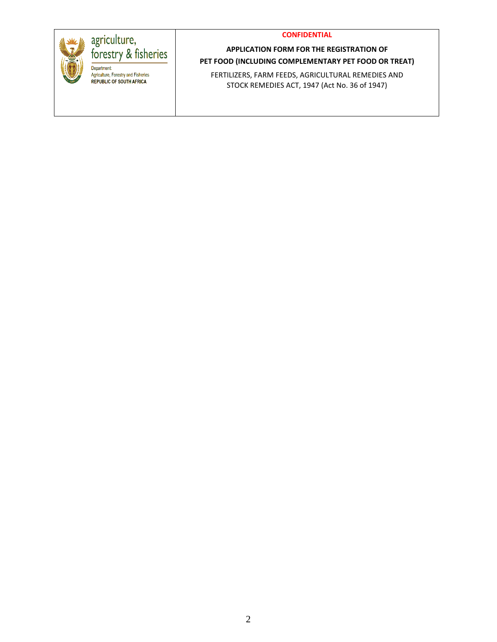

# agriculture,<br>forestry & fisheries Department Agriculture, Forestry and Fisheries **REPUBLIC OF SOUTH AFRICA**

### **APPLICATION FORM FOR THE REGISTRATION OF PET FOOD (INCLUDING COMPLEMENTARY PET FOOD OR TREAT)**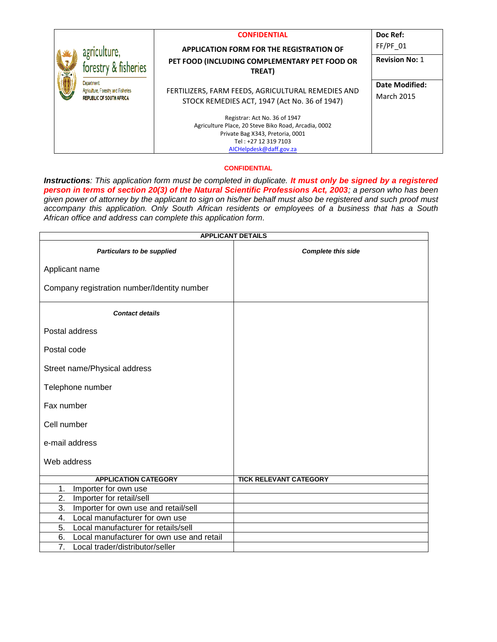|   |                                                                        | <b>CONFIDENTIAL</b>                                  | Doc Ref:              |
|---|------------------------------------------------------------------------|------------------------------------------------------|-----------------------|
|   | agriculture,                                                           | <b>APPLICATION FORM FOR THE REGISTRATION OF</b>      | $FF/PF$ 01            |
|   | forestry & fisheries                                                   | PET FOOD (INCLUDING COMPLEMENTARY PET FOOD OR        | <b>Revision No: 1</b> |
| X |                                                                        | TREAT)                                               |                       |
|   | <b>Department</b>                                                      |                                                      | Date Modified:        |
|   | Agriculture, Forestry and Fisheries<br><b>REPUBLIC OF SOUTH AFRICA</b> | FERTILIZERS, FARM FEEDS, AGRICULTURAL REMEDIES AND   | <b>March 2015</b>     |
|   |                                                                        | STOCK REMEDIES ACT, 1947 (Act No. 36 of 1947)        |                       |
|   |                                                                        | Registrar: Act No. 36 of 1947                        |                       |
|   |                                                                        | Agriculture Place, 20 Steve Biko Road, Arcadia, 0002 |                       |
|   |                                                                        | Private Bag X343, Pretoria, 0001                     |                       |
|   |                                                                        | Tel: +27 12 319 7103                                 |                       |
|   |                                                                        | AICHelpdesk@daff.gov.za                              |                       |

*Instructions: This application form must be completed in duplicate. It must only be signed by a registered person in terms of section 20(3) of the Natural Scientific Professions Act, 2003; a person who has been given power of attorney by the applicant to sign on his/her behalf must also be registered and such proof must accompany this application. Only South African residents or employees of a business that has a South African office and address can complete this application form.* 

|                                                     | <b>APPLICANT DETAILS</b>      |
|-----------------------------------------------------|-------------------------------|
| Particulars to be supplied                          | <b>Complete this side</b>     |
| Applicant name                                      |                               |
| Company registration number/Identity number         |                               |
| <b>Contact details</b>                              |                               |
| Postal address                                      |                               |
| Postal code                                         |                               |
| Street name/Physical address                        |                               |
| Telephone number                                    |                               |
| Fax number                                          |                               |
| Cell number                                         |                               |
| e-mail address                                      |                               |
| Web address                                         |                               |
| <b>APPLICATION CATEGORY</b>                         | <b>TICK RELEVANT CATEGORY</b> |
| Importer for own use<br>1.                          |                               |
| 2.<br>Importer for retail/sell                      |                               |
| 3.<br>Importer for own use and retail/sell          |                               |
| 4.<br>Local manufacturer for own use                |                               |
| 5.<br>Local manufacturer for retails/sell           |                               |
| 6.<br>Local manufacturer for own use and retail     |                               |
| $\overline{7}$ .<br>Local trader/distributor/seller |                               |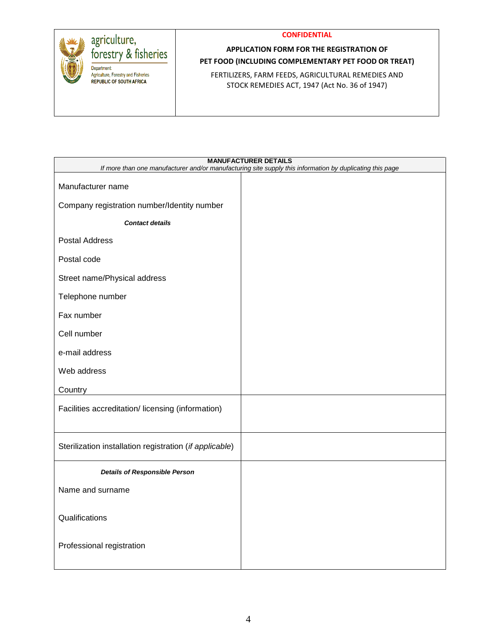



### **APPLICATION FORM FOR THE REGISTRATION OF PET FOOD (INCLUDING COMPLEMENTARY PET FOOD OR TREAT)**

|                                                         | <b>MANUFACTURER DETAILS</b><br>If more than one manufacturer and/or manufacturing site supply this information by duplicating this page |
|---------------------------------------------------------|-----------------------------------------------------------------------------------------------------------------------------------------|
| Manufacturer name                                       |                                                                                                                                         |
| Company registration number/Identity number             |                                                                                                                                         |
| <b>Contact details</b>                                  |                                                                                                                                         |
| <b>Postal Address</b>                                   |                                                                                                                                         |
| Postal code                                             |                                                                                                                                         |
| Street name/Physical address                            |                                                                                                                                         |
| Telephone number                                        |                                                                                                                                         |
| Fax number                                              |                                                                                                                                         |
| Cell number                                             |                                                                                                                                         |
| e-mail address                                          |                                                                                                                                         |
| Web address                                             |                                                                                                                                         |
| Country                                                 |                                                                                                                                         |
| Facilities accreditation/licensing (information)        |                                                                                                                                         |
| Sterilization installation registration (if applicable) |                                                                                                                                         |
| <b>Details of Responsible Person</b>                    |                                                                                                                                         |
| Name and surname                                        |                                                                                                                                         |
| Qualifications                                          |                                                                                                                                         |
| Professional registration                               |                                                                                                                                         |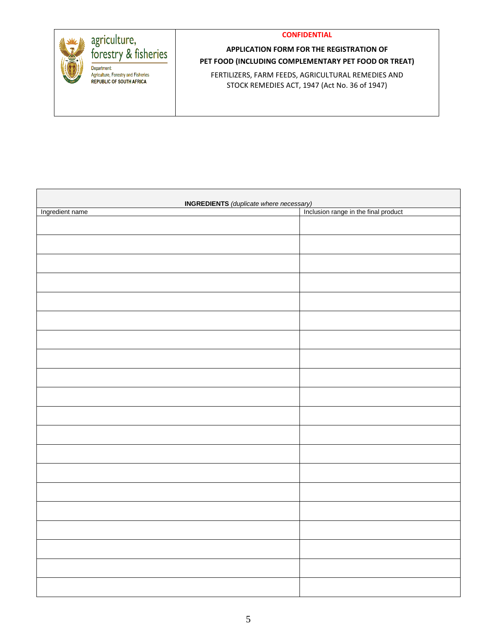

| <b>INGREDIENTS</b> (duplicate where necessary)<br>  Inclusion range in the final product |  |
|------------------------------------------------------------------------------------------|--|
| Ingredient name                                                                          |  |
|                                                                                          |  |
|                                                                                          |  |
|                                                                                          |  |
|                                                                                          |  |
|                                                                                          |  |
|                                                                                          |  |
|                                                                                          |  |
|                                                                                          |  |
|                                                                                          |  |
|                                                                                          |  |
|                                                                                          |  |
|                                                                                          |  |
|                                                                                          |  |
|                                                                                          |  |
|                                                                                          |  |
|                                                                                          |  |
|                                                                                          |  |
|                                                                                          |  |
|                                                                                          |  |
|                                                                                          |  |
|                                                                                          |  |
|                                                                                          |  |
|                                                                                          |  |
|                                                                                          |  |
|                                                                                          |  |
|                                                                                          |  |
|                                                                                          |  |
|                                                                                          |  |
|                                                                                          |  |
|                                                                                          |  |
|                                                                                          |  |
|                                                                                          |  |
|                                                                                          |  |
|                                                                                          |  |
|                                                                                          |  |
|                                                                                          |  |
|                                                                                          |  |
|                                                                                          |  |
|                                                                                          |  |
|                                                                                          |  |
|                                                                                          |  |
|                                                                                          |  |
|                                                                                          |  |
|                                                                                          |  |
|                                                                                          |  |
|                                                                                          |  |
|                                                                                          |  |
|                                                                                          |  |
|                                                                                          |  |
|                                                                                          |  |
|                                                                                          |  |
|                                                                                          |  |
|                                                                                          |  |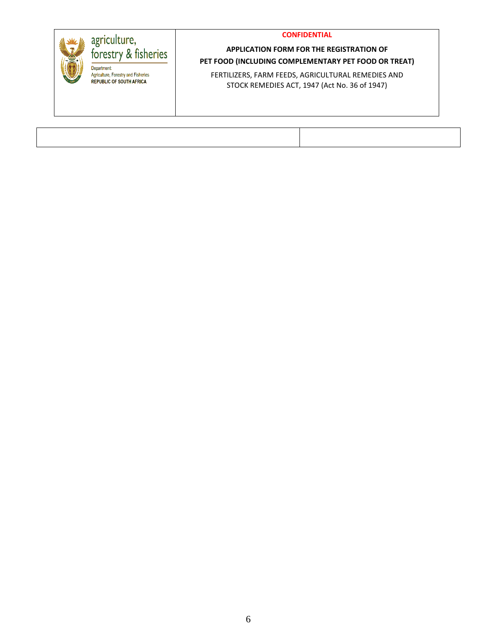

#### **APPLICATION FORM FOR THE REGISTRATION OF PET FOOD (INCLUDING COMPLEMENTARY PET FOOD OR TREAT)**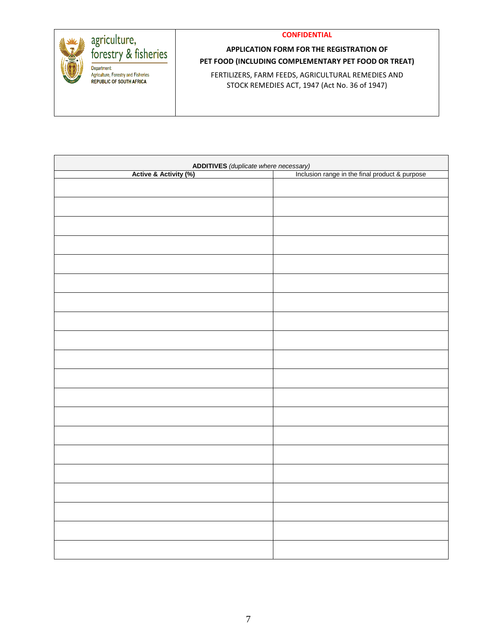| agriculture,                                                                                | <b>CONFIDENTIAL</b>                                                                                 |
|---------------------------------------------------------------------------------------------|-----------------------------------------------------------------------------------------------------|
| forestry & fisheries                                                                        | APPLICATION FORM FOR THE REGISTRATION OF<br>PET FOOD (INCLUDING COMPLEMENTARY PET FOOD OR TREAT)    |
| <b>Department</b><br>Agriculture, Forestry and Fisheries<br><b>REPUBLIC OF SOUTH AFRICA</b> | FERTILIZERS, FARM FEEDS, AGRICULTURAL REMEDIES AND<br>STOCK REMEDIES ACT, 1947 (Act No. 36 of 1947) |

|                       | <b>ADDITIVES</b> (duplicate where necessary)<br>(6) The lines of manage in the final product & purpose |
|-----------------------|--------------------------------------------------------------------------------------------------------|
| Active & Activity (%) |                                                                                                        |
|                       |                                                                                                        |
|                       |                                                                                                        |
|                       |                                                                                                        |
|                       |                                                                                                        |
|                       |                                                                                                        |
|                       |                                                                                                        |
|                       |                                                                                                        |
|                       |                                                                                                        |
|                       |                                                                                                        |
|                       |                                                                                                        |
|                       |                                                                                                        |
|                       |                                                                                                        |
|                       |                                                                                                        |
|                       |                                                                                                        |
|                       |                                                                                                        |
|                       |                                                                                                        |
|                       |                                                                                                        |
|                       |                                                                                                        |
|                       |                                                                                                        |
|                       |                                                                                                        |
|                       |                                                                                                        |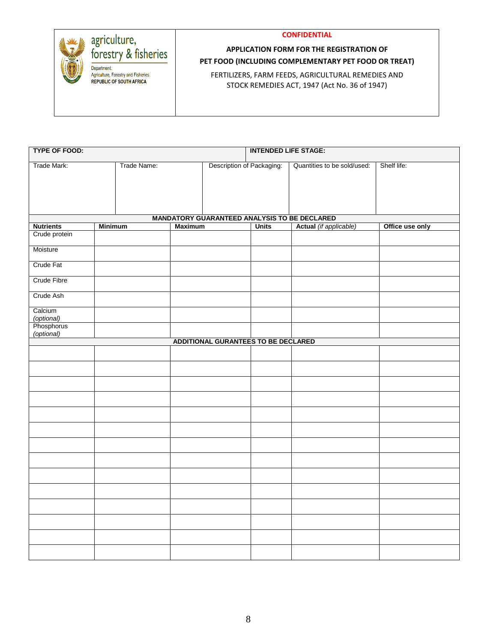



### **APPLICATION FORM FOR THE REGISTRATION OF PET FOOD (INCLUDING COMPLEMENTARY PET FOOD OR TREAT)**

| <b>TYPE OF FOOD:</b>     |                |             | <b>INTENDED LIFE STAGE:</b> |                                            |              |                                                                        |                 |
|--------------------------|----------------|-------------|-----------------------------|--------------------------------------------|--------------|------------------------------------------------------------------------|-----------------|
| Trade Mark:              |                | Trade Name: |                             | Description of Packaging:                  |              | Quantities to be sold/used:                                            | Shelf life:     |
|                          |                |             |                             |                                            |              |                                                                        |                 |
|                          |                |             |                             |                                            |              |                                                                        |                 |
|                          |                |             |                             |                                            |              |                                                                        |                 |
|                          |                |             |                             |                                            |              |                                                                        |                 |
| <b>Nutrients</b>         | <b>Minimum</b> |             | <b>Maximum</b>              |                                            | <b>Units</b> | MANDATORY GUARANTEED ANALYSIS TO BE DECLARED<br>Actual (if applicable) | Office use only |
| Crude protein            |                |             |                             |                                            |              |                                                                        |                 |
| Moisture                 |                |             |                             |                                            |              |                                                                        |                 |
| Crude Fat                |                |             |                             |                                            |              |                                                                        |                 |
| Crude Fibre              |                |             |                             |                                            |              |                                                                        |                 |
| Crude Ash                |                |             |                             |                                            |              |                                                                        |                 |
| Calcium<br>(optional)    |                |             |                             |                                            |              |                                                                        |                 |
| Phosphorus<br>(optional) |                |             |                             |                                            |              |                                                                        |                 |
|                          |                |             |                             | <b>ADDITIONAL GURANTEES TO BE DECLARED</b> |              |                                                                        |                 |
|                          |                |             |                             |                                            |              |                                                                        |                 |
|                          |                |             |                             |                                            |              |                                                                        |                 |
|                          |                |             |                             |                                            |              |                                                                        |                 |
|                          |                |             |                             |                                            |              |                                                                        |                 |
|                          |                |             |                             |                                            |              |                                                                        |                 |
|                          |                |             |                             |                                            |              |                                                                        |                 |
|                          |                |             |                             |                                            |              |                                                                        |                 |
|                          |                |             |                             |                                            |              |                                                                        |                 |
|                          |                |             |                             |                                            |              |                                                                        |                 |
|                          |                |             |                             |                                            |              |                                                                        |                 |
|                          |                |             |                             |                                            |              |                                                                        |                 |
|                          |                |             |                             |                                            |              |                                                                        |                 |
|                          |                |             |                             |                                            |              |                                                                        |                 |
|                          |                |             |                             |                                            |              |                                                                        |                 |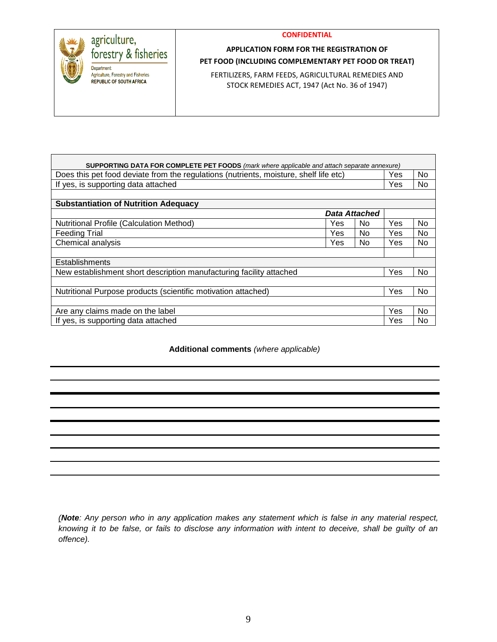

### **APPLICATION FORM FOR THE REGISTRATION OF PET FOOD (INCLUDING COMPLEMENTARY PET FOOD OR TREAT)**

FERTILIZERS, FARM FEEDS, AGRICULTURAL REMEDIES AND STOCK REMEDIES ACT, 1947 (Act No. 36 of 1947)

| SUPPORTING DATA FOR COMPLETE PET FOODS (mark where applicable and attach separate annexure) |     |                      |     |     |
|---------------------------------------------------------------------------------------------|-----|----------------------|-----|-----|
| Does this pet food deviate from the regulations (nutrients, moisture, shelf life etc)       |     |                      | Yes | No. |
| If yes, is supporting data attached                                                         |     |                      | Yes | No. |
|                                                                                             |     |                      |     |     |
| <b>Substantiation of Nutrition Adequacy</b>                                                 |     |                      |     |     |
|                                                                                             |     | <b>Data Attached</b> |     |     |
| <b>Nutritional Profile (Calculation Method)</b>                                             | Yes | N <sub>0</sub>       | Yes | No. |
| <b>Feeding Trial</b>                                                                        | Yes | No                   | Yes | No. |
| Chemical analysis                                                                           | Yes | N <sub>0</sub>       | Yes | No. |
|                                                                                             |     |                      |     |     |
| Establishments                                                                              |     |                      |     |     |
| New establishment short description manufacturing facility attached                         |     |                      | Yes | No. |
|                                                                                             |     |                      |     |     |
| Nutritional Purpose products (scientific motivation attached)                               |     |                      | Yes | No  |
|                                                                                             |     |                      |     |     |
| Are any claims made on the label                                                            |     |                      | Yes | No. |
| If yes, is supporting data attached                                                         |     |                      | Yes | No. |

**Additional comments** *(where applicable)*

*(Note: Any person who in any application makes any statement which is false in any material respect, knowing it to be false, or fails to disclose any information with intent to deceive, shall be guilty of an offence).*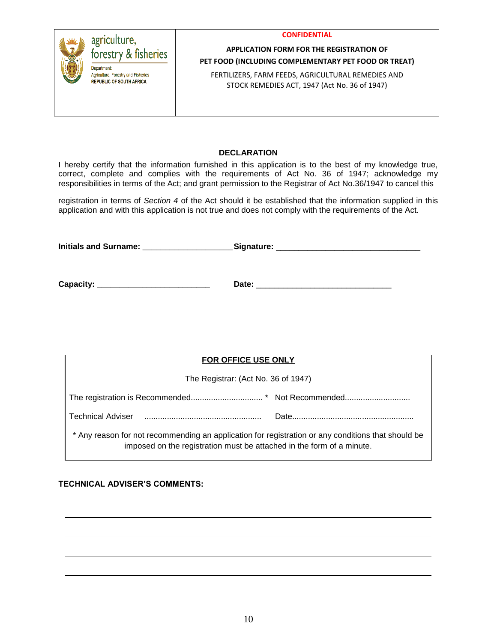

#### **APPLICATION FORM FOR THE REGISTRATION OF PET FOOD (INCLUDING COMPLEMENTARY PET FOOD OR TREAT)**

FERTILIZERS, FARM FEEDS, AGRICULTURAL REMEDIES AND STOCK REMEDIES ACT, 1947 (Act No. 36 of 1947)

#### **DECLARATION**

I hereby certify that the information furnished in this application is to the best of my knowledge true, correct, complete and complies with the requirements of Act No. 36 of 1947; acknowledge my responsibilities in terms of the Act; and grant permission to the Registrar of Act No.36/1947 to cancel this

registration in terms of *Section 4* of the Act should it be established that the information supplied in this application and with this application is not true and does not comply with the requirements of the Act.

**Initials and Surname: \_\_\_\_\_\_\_\_\_\_\_\_\_\_\_\_\_\_\_\_Signature:** \_\_\_\_\_\_\_\_\_\_\_\_\_\_\_\_\_\_\_\_\_\_\_\_\_\_\_\_\_\_\_\_

**Capacity: \_\_\_\_\_\_\_\_\_\_\_\_\_\_\_\_\_\_\_\_\_\_\_\_\_ Date:** \_\_\_\_\_\_\_\_\_\_\_\_\_\_\_\_\_\_\_\_\_\_\_\_\_\_\_\_\_\_

| FOR OFFICE USE ONLY                                                                                                                                                         |  |
|-----------------------------------------------------------------------------------------------------------------------------------------------------------------------------|--|
| The Registrar: (Act No. 36 of 1947)                                                                                                                                         |  |
|                                                                                                                                                                             |  |
| Technical Adviser                                                                                                                                                           |  |
| * Any reason for not recommending an application for registration or any conditions that should be<br>imposed on the registration must be attached in the form of a minute. |  |

**TECHNICAL ADVISER'S COMMENTS:**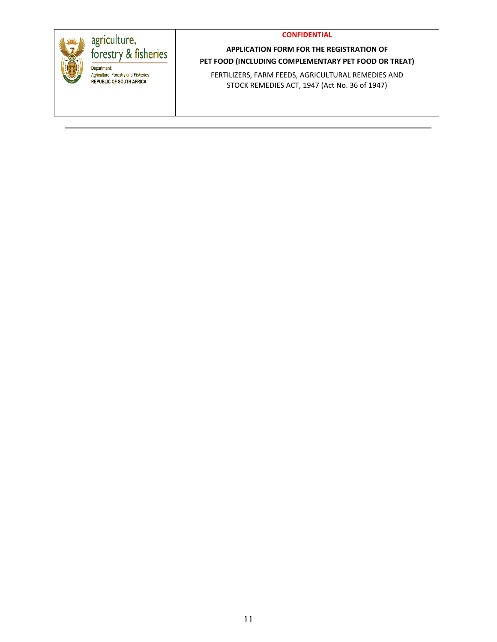

## **APPLICATION FORM FOR THE REGISTRATION OF PET FOOD (INCLUDING COMPLEMENTARY PET FOOD OR TREAT)**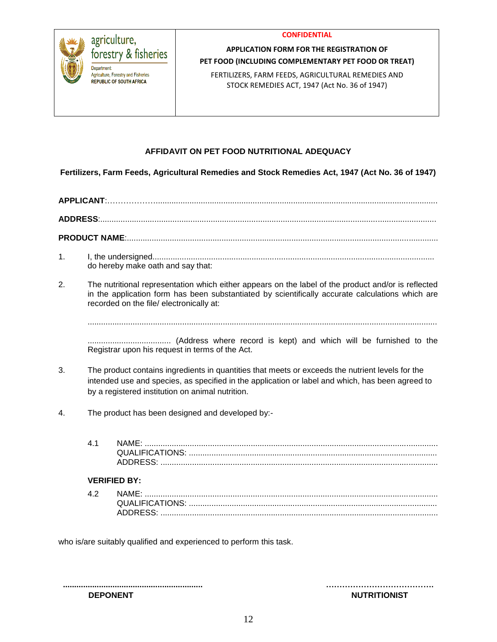



#### **APPLICATION FORM FOR THE REGISTRATION OF PET FOOD (INCLUDING COMPLEMENTARY PET FOOD OR TREAT)**

FERTILIZERS, FARM FEEDS, AGRICULTURAL REMEDIES AND STOCK REMEDIES ACT, 1947 (Act No. 36 of 1947)

### **AFFIDAVIT ON PET FOOD NUTRITIONAL ADEQUACY**

**Fertilizers, Farm Feeds, Agricultural Remedies and Stock Remedies Act, 1947 (Act No. 36 of 1947)**

# **APPLICANT**:……………….............................................................................................................................

**ADDRESS**:.....................................................................................................................................................

**PRODUCT NAME**:..........................................................................................................................................

- 1. I, the undersigned............................................................................................................................. do hereby make oath and say that:
- 2. The nutritional representation which either appears on the label of the product and/or is reflected in the application form has been substantiated by scientifically accurate calculations which are recorded on the file/ electronically at:

...........................................................................................................................................................

..................................... (Address where record is kept) and which will be furnished to the Registrar upon his request in terms of the Act.

- 3. The product contains ingredients in quantities that meets or exceeds the nutrient levels for the intended use and species, as specified in the application or label and which, has been agreed to by a registered institution on animal nutrition.
- 4. The product has been designed and developed by:-
	- 4.1 NAME: .................................................................................................................................. QUALIFICATIONS: .............................................................................................................. ADDRESS: ...........................................................................................................................

#### **VERIFIED BY:**

| 4.2 |                 |
|-----|-----------------|
|     | QUALIFICATIONS: |
|     | ADDRESS:        |

who is/are suitably qualified and experienced to perform this task.

**.............................................................. …………………………………. DEPONENT NUTRITIONIST**